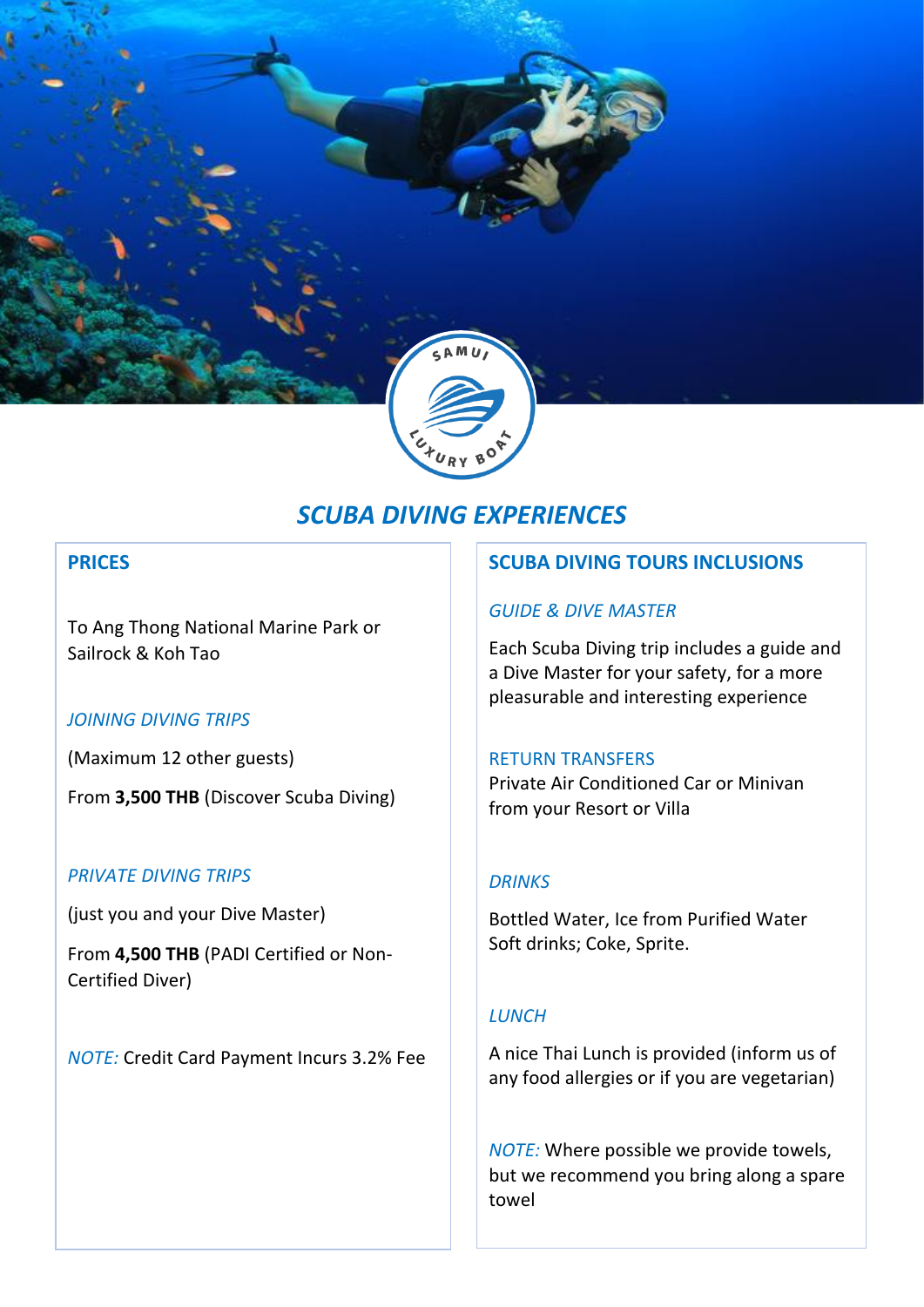

# *SCUBA DIVING EXPERIENCES*

### **PRICES**

To Ang Thong National Marine Park or Sailrock & Koh Tao

### *JOINING DIVING TRIPS*

(Maximum 12 other guests)

From **3,500 THB** (Discover Scuba Diving)

### *PRIVATE DIVING TRIPS*

(just you and your Dive Master)

From **4,500 THB** (PADI Certified or Non-Certified Diver)

*NOTE:* Credit Card Payment Incurs 3.2% Fee

### **SCUBA DIVING TOURS INCLUSIONS**

### *GUIDE & DIVE MASTER*

Each Scuba Diving trip includes a guide and a Dive Master for your safety, for a more pleasurable and interesting experience

#### RETURN TRANSFERS

Private Air Conditioned Car or Minivan from your Resort or Villa

### *DRINKS*

Bottled Water, Ice from Purified Water Soft drinks; Coke, Sprite.

### *LUNCH*

A nice Thai Lunch is provided (inform us of any food allergies or if you are vegetarian)

*NOTE:* Where possible we provide towels, but we recommend you bring along a spare towel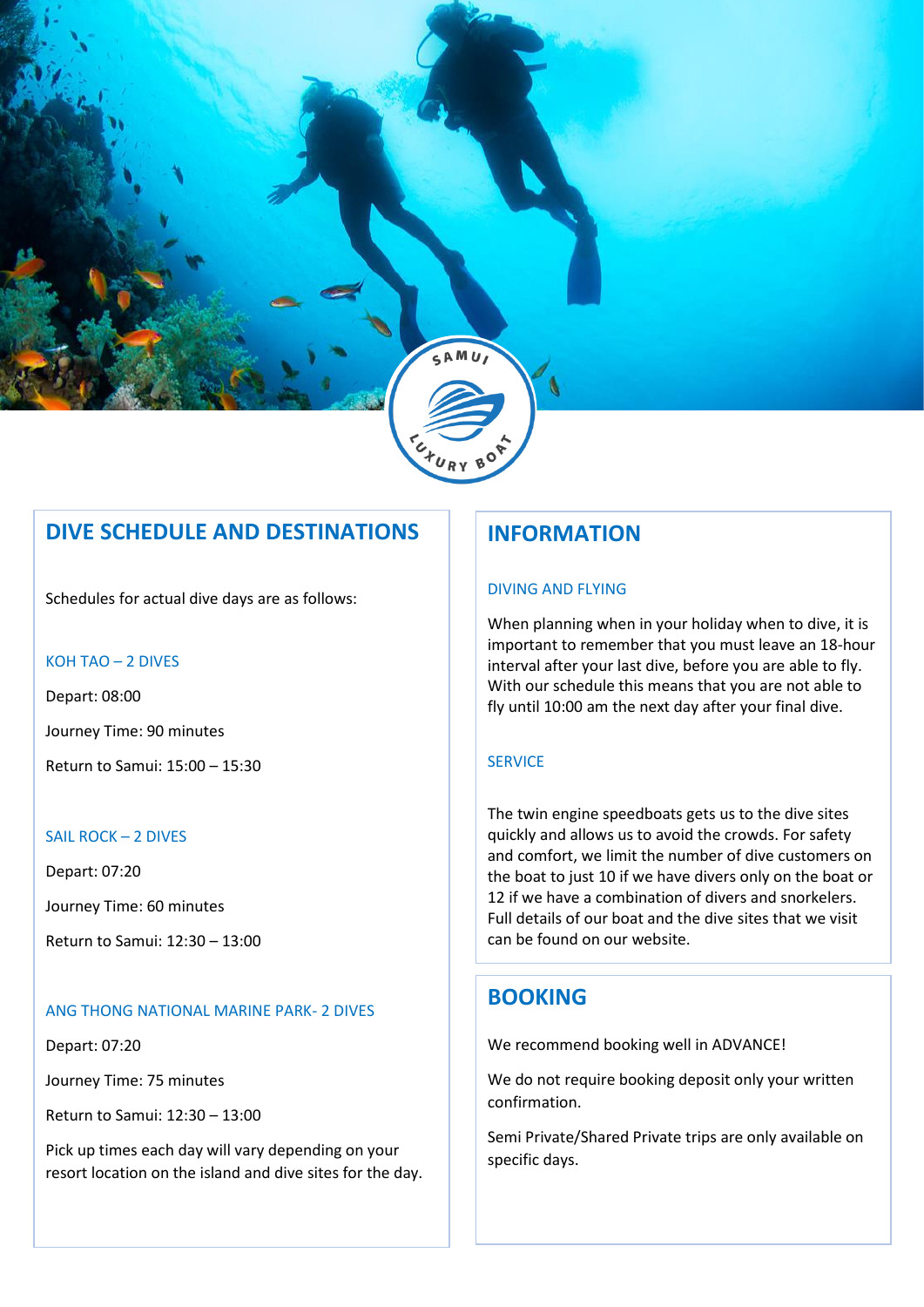

# **DIVE SCHEDULE AND DESTINATIONS**

Schedules for actual dive days are as follows:

#### KOH TAO – 2 DIVES

Depart: 08:00 Journey Time: 90 minutes Return to Samui: 15:00 – 15:30

#### SAIL ROCK – 2 DIVES

Depart: 07:20

Journey Time: 60 minutes

Return to Samui: 12:30 – 13:00

#### ANG THONG NATIONAL MARINE PARK- 2 DIVES

Depart: 07:20

Journey Time: 75 minutes

Return to Samui: 12:30 – 13:00

Pick up times each day will vary depending on your resort location on the island and dive sites for the day.

# **INFORMATION**

#### DIVING AND FLYING

When planning when in your holiday when to dive, it is important to remember that you must leave an 18-hour interval after your last dive, before you are able to fly. With our schedule this means that you are not able to fly until 10:00 am the next day after your final dive.

#### **SERVICE**

The twin engine speedboats gets us to the dive sites quickly and allows us to avoid the crowds. For safety and comfort, we limit the number of dive customers on the boat to just 10 if we have divers only on the boat or 12 if we have a combination of divers and snorkelers. Full details of our boat and the dive sites that we visit can be found on our website.

### **BOOKING**

We recommend booking well in ADVANCE!

We do not require booking deposit only your written confirmation.

Semi Private/Shared Private trips are only available on specific days.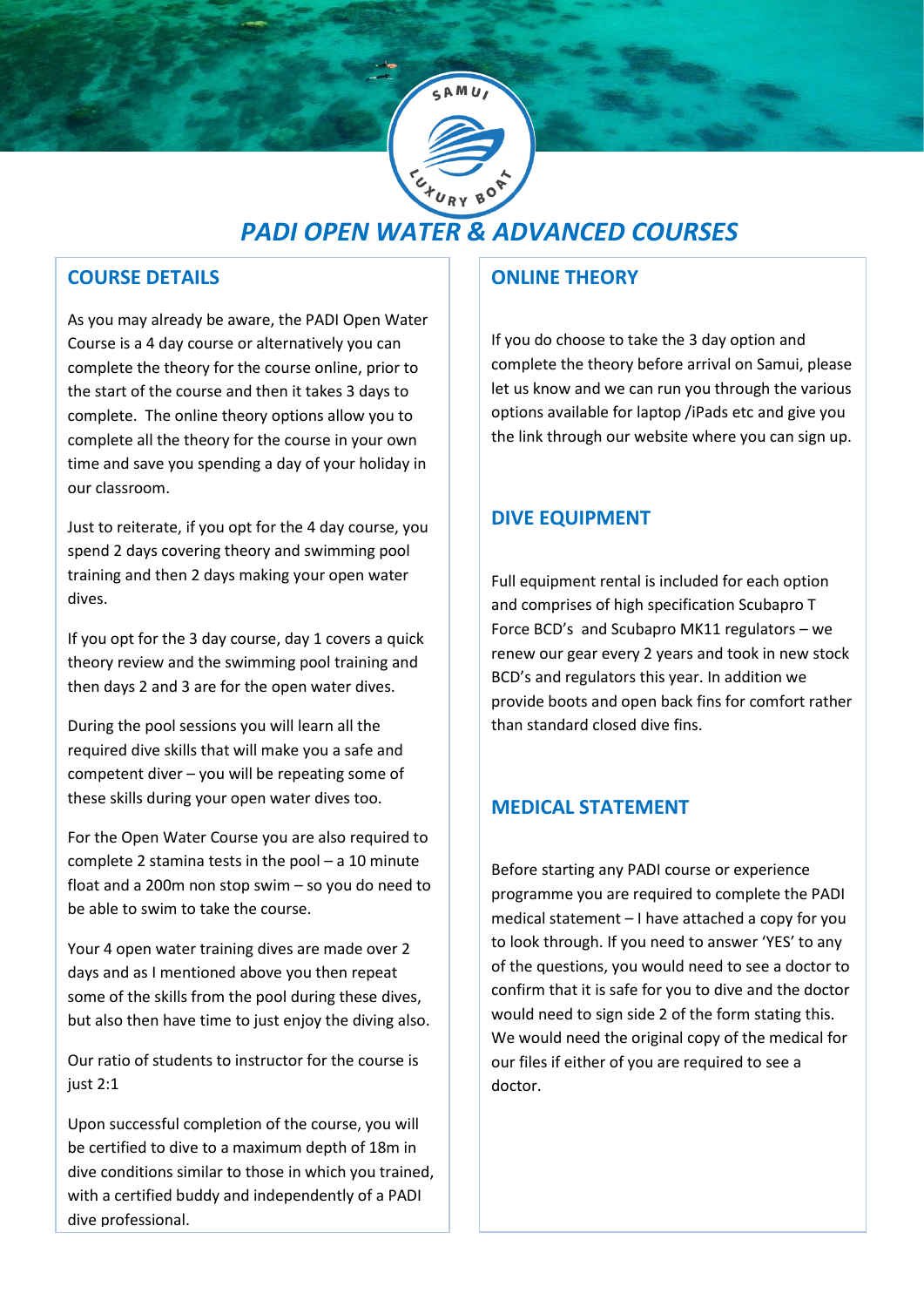

# *PADI OPEN WATER & ADVANCED COURSES*

# **COURSE DETAILS**

As you may already be aware, the PADI Open Water Course is a 4 day course or alternatively you can complete the theory for the course online, prior to the start of the course and then it takes 3 days to complete. The online theory options allow you to complete all the theory for the course in your own time and save you spending a day of your holiday in our classroom.

Just to reiterate, if you opt for the 4 day course, you spend 2 days covering theory and swimming pool training and then 2 days making your open water dives.

If you opt for the 3 day course, day 1 covers a quick theory review and the swimming pool training and then days 2 and 3 are for the open water dives.

During the pool sessions you will learn all the required dive skills that will make you a safe and competent diver – you will be repeating some of these skills during your open water dives too.

For the Open Water Course you are also required to complete 2 stamina tests in the pool – a 10 minute float and a 200m non stop swim – so you do need to be able to swim to take the course.

Your 4 open water training dives are made over 2 days and as I mentioned above you then repeat some of the skills from the pool during these dives, but also then have time to just enjoy the diving also.

Our ratio of students to instructor for the course is just 2:1

Upon successful completion of the course, you will be certified to dive to a maximum depth of 18m in dive conditions similar to those in which you trained, with a certified buddy and independently of a PADI dive professional.

# **ONLINE THEORY**

If you do choose to take the 3 day option and complete the theory before arrival on Samui, please let us know and we can run you through the various options available for laptop /iPads etc and give you the link through our website where you can sign up.

# **DIVE EQUIPMENT**

Full equipment rental is included for each option and comprises of high specification Scubapro T Force BCD's and Scubapro MK11 regulators – we renew our gear every 2 years and took in new stock BCD's and regulators this year. In addition we provide boots and open back fins for comfort rather than standard closed dive fins.

# **MEDICAL STATEMENT**

Before starting any PADI course or experience programme you are required to complete the PADI medical statement – I have attached a copy for you to look through. If you need to answer 'YES' to any of the questions, you would need to see a doctor to confirm that it is safe for you to dive and the doctor would need to sign side 2 of the form stating this. We would need the original copy of the medical for our files if either of you are required to see a doctor.